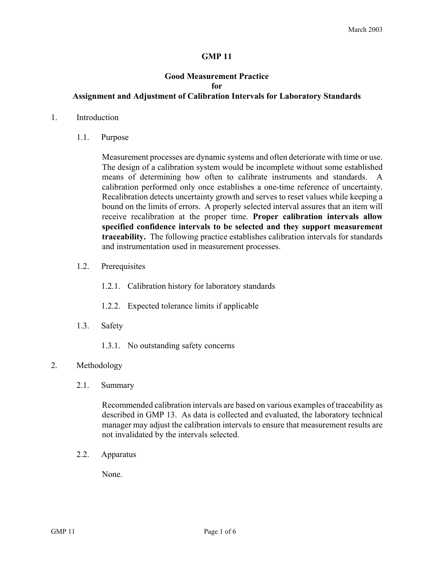### **GMP 11**

# **Good Measurement Practice for Assignment and Adjustment of Calibration Intervals for Laboratory Standards**

#### 1. Introduction

1.1. Purpose

Measurement processes are dynamic systems and often deteriorate with time or use. The design of a calibration system would be incomplete without some established means of determining how often to calibrate instruments and standards. A calibration performed only once establishes a one-time reference of uncertainty. Recalibration detects uncertainty growth and serves to reset values while keeping a bound on the limits of errors. A properly selected interval assures that an item will receive recalibration at the proper time. **Proper calibration intervals allow specified confidence intervals to be selected and they support measurement traceability.** The following practice establishes calibration intervals for standards and instrumentation used in measurement processes.

- 1.2. Prerequisites
	- 1.2.1. Calibration history for laboratory standards
	- 1.2.2. Expected tolerance limits if applicable
- 1.3. Safety
	- 1.3.1. No outstanding safety concerns

#### 2. Methodology

2.1. Summary

Recommended calibration intervals are based on various examples of traceability as described in GMP 13. As data is collected and evaluated, the laboratory technical manager may adjust the calibration intervals to ensure that measurement results are not invalidated by the intervals selected.

2.2. Apparatus

None.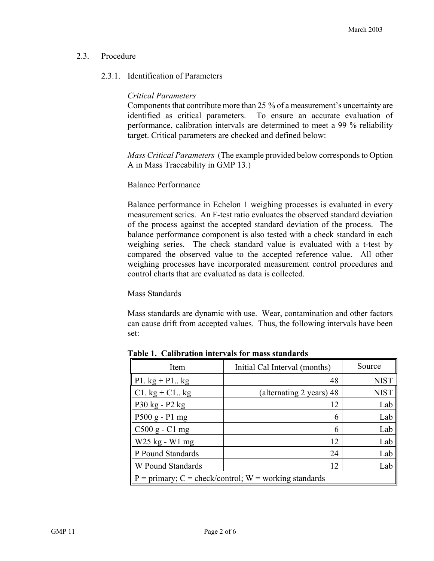# 2.3. Procedure

# 2.3.1. Identification of Parameters

# *Critical Parameters*

Components that contribute more than 25 % of a measurement's uncertainty are identified as critical parameters. To ensure an accurate evaluation of performance, calibration intervals are determined to meet a 99 % reliability target. Critical parameters are checked and defined below:

*Mass Critical Parameters* (The example provided below corresponds to Option A in Mass Traceability in GMP 13.)

### Balance Performance

Balance performance in Echelon 1 weighing processes is evaluated in every measurement series. An F-test ratio evaluates the observed standard deviation of the process against the accepted standard deviation of the process. The balance performance component is also tested with a check standard in each weighing series. The check standard value is evaluated with a t-test by compared the observed value to the accepted reference value. All other weighing processes have incorporated measurement control procedures and control charts that are evaluated as data is collected.

### Mass Standards

Mass standards are dynamic with use. Wear, contamination and other factors can cause drift from accepted values. Thus, the following intervals have been set:

| Item                                                            | Initial Cal Interval (months) | Source      |
|-----------------------------------------------------------------|-------------------------------|-------------|
| P1. $kg + P1$ $kg$                                              | 48                            | <b>NIST</b> |
| $C1. kg + C1. kg$                                               | (alternating 2 years) 48      | <b>NIST</b> |
| P30 kg - P2 kg                                                  | 12                            | Lab         |
| $P500 g - P1 mg$                                                | 6                             | Lab         |
| C500 g - C1 mg                                                  | 6                             | Lab         |
| W25 kg - W1 mg                                                  | 12                            | Lab         |
| P Pound Standards                                               | 24                            | Lab         |
| W Pound Standards                                               | 12                            | Lab         |
| $P = \text{primary}$ ; C = check/control; W = working standards |                               |             |

**Table 1. Calibration intervals for mass standards**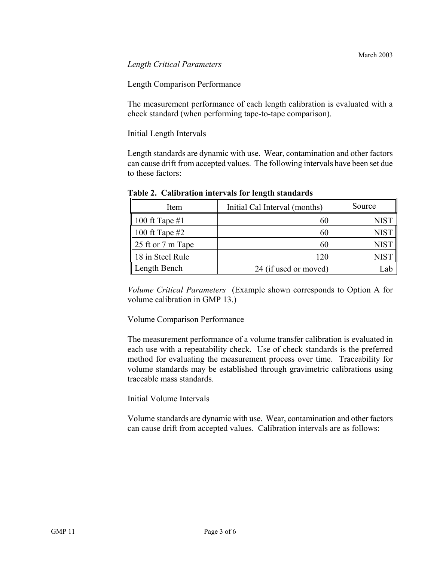### *Length Critical Parameters*

Length Comparison Performance

The measurement performance of each length calibration is evaluated with a check standard (when performing tape-to-tape comparison).

Initial Length Intervals

Length standards are dynamic with use. Wear, contamination and other factors can cause drift from accepted values. The following intervals have been set due to these factors:

| Item                        | Initial Cal Interval (months) | Source      |
|-----------------------------|-------------------------------|-------------|
| 100 ft Tape $#1$            | 60                            | <b>NIST</b> |
| 100 ft Tape $#2$            | 60                            | <b>NIST</b> |
| 25 ft or $7 \text{ m}$ Tape | 60                            | <b>NIST</b> |
| 18 in Steel Rule            | 120                           | <b>NIST</b> |
| Length Bench                | 24 (if used or moved)         | -al         |

**Table 2. Calibration intervals for length standards** 

*Volume Critical Parameters* (Example shown corresponds to Option A for volume calibration in GMP 13.)

Volume Comparison Performance

The measurement performance of a volume transfer calibration is evaluated in each use with a repeatability check. Use of check standards is the preferred method for evaluating the measurement process over time. Traceability for volume standards may be established through gravimetric calibrations using traceable mass standards.

# Initial Volume Intervals

Volume standards are dynamic with use. Wear, contamination and other factors can cause drift from accepted values. Calibration intervals are as follows: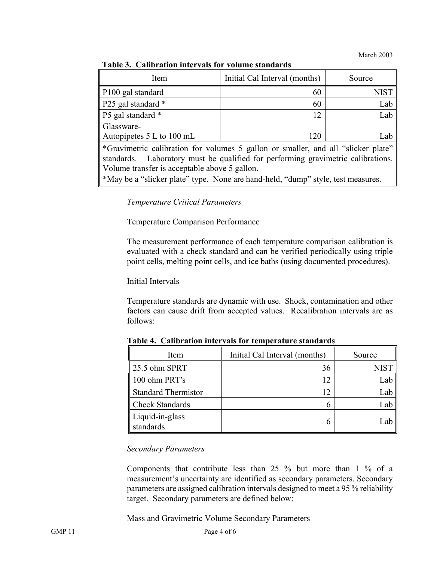March 2003

| Item                      | Initial Cal Interval (months) | Source |
|---------------------------|-------------------------------|--------|
| P100 gal standard         | 60                            | NIST   |
| P25 gal standard *        | 60                            | Lab    |
| P5 gal standard *         | 12                            | Lab    |
| Glassware-                |                               |        |
| Autopipetes 5 L to 100 mL | 120                           | Lab    |
|                           |                               |        |

## **Table 3. Calibration intervals for volume standards**

\*Gravimetric calibration for volumes 5 gallon or smaller, and all "slicker plate" standards. Laboratory must be qualified for performing gravimetric calibrations. Volume transfer is acceptable above 5 gallon.

\*May be a "slicker plate" type. None are hand-held, "dump" style, test measures.

*Temperature Critical Parameters* 

Temperature Comparison Performance

The measurement performance of each temperature comparison calibration is evaluated with a check standard and can be verified periodically using triple point cells, melting point cells, and ice baths (using documented procedures).

Initial Intervals

Temperature standards are dynamic with use. Shock, contamination and other factors can cause drift from accepted values. Recalibration intervals are as follows:

| Item                         | Initial Cal Interval (months) | Source |
|------------------------------|-------------------------------|--------|
| $\parallel$ 25.5 ohm SPRT    | 36                            |        |
| 100 ohm PRT's                | 12                            | Lab    |
| Standard Thermistor          | 12                            | Lab    |
| <b>Check Standards</b>       |                               | Lab    |
| Liquid-in-glass<br>standards | n                             | ∴a*    |

**Table 4. Calibration intervals for temperature standards** 

### *Secondary Parameters*

Components that contribute less than 25 % but more than 1 % of a measurement's uncertainty are identified as secondary parameters. Secondary parameters are assigned calibration intervals designed to meet a 95 % reliability target. Secondary parameters are defined below:

Mass and Gravimetric Volume Secondary Parameters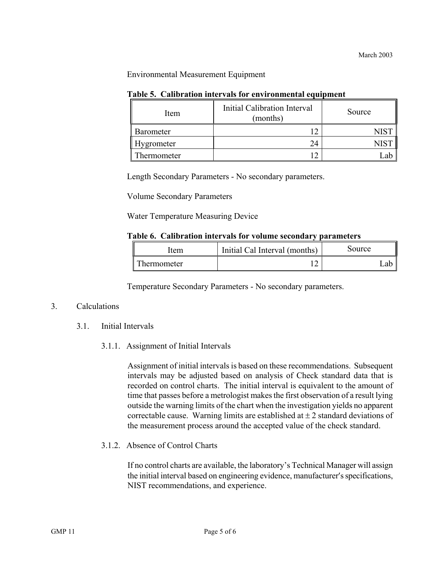### Environmental Measurement Equipment

| Item              | Initial Calibration Interval<br>(months) | Source |
|-------------------|------------------------------------------|--------|
| <b>Barometer</b>  |                                          |        |
| <b>Hygrometer</b> | 24                                       |        |
| Thermometer       |                                          |        |

### **Table 5. Calibration intervals for environmental equipment**

Length Secondary Parameters - No secondary parameters.

Volume Secondary Parameters

Water Temperature Measuring Device

#### **Table 6. Calibration intervals for volume secondary parameters**

| .tem        | Initial Cal Interval (months) | Source |
|-------------|-------------------------------|--------|
| `hermometer |                               | лŀ     |

Temperature Secondary Parameters - No secondary parameters.

### 3. Calculations

- 3.1. Initial Intervals
	- 3.1.1. Assignment of Initial Intervals

Assignment of initial intervals is based on these recommendations. Subsequent intervals may be adjusted based on analysis of Check standard data that is recorded on control charts. The initial interval is equivalent to the amount of time that passes before a metrologist makes the first observation of a result lying outside the warning limits of the chart when the investigation yields no apparent correctable cause. Warning limits are established at  $\pm 2$  standard deviations of the measurement process around the accepted value of the check standard.

3.1.2. Absence of Control Charts

If no control charts are available, the laboratory's Technical Manager will assign the initial interval based on engineering evidence, manufacturer′s specifications, NIST recommendations, and experience.